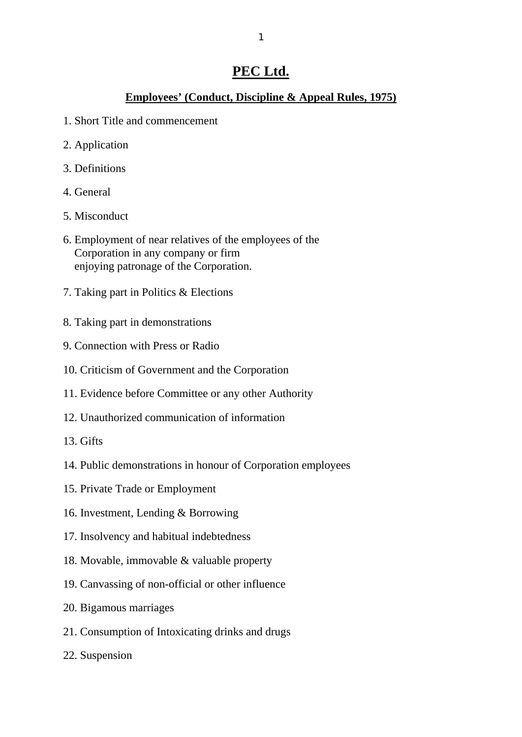# **PEC Ltd.**

# **Employees' (Conduct, Discipline & Appeal Rules, 1975)**

- 1. Short Title and commencement
- 2. Application
- 3. Definitions
- 4. General
- 5. Misconduct
- 6. Employment of near relatives of the employees of the Corporation in any company or firm enjoying patronage of the Corporation.
- 7. Taking part in Politics & Elections
- 8. Taking part in demonstrations
- 9. Connection with Press or Radio
- 10. Criticism of Government and the Corporation
- 11. Evidence before Committee or any other Authority
- 12. Unauthorized communication of information
- 13. Gifts
- 14. Public demonstrations in honour of Corporation employees
- 15. Private Trade or Employment
- 16. Investment, Lending & Borrowing
- 17. Insolvency and habitual indebtedness
- 18. Movable, immovable & valuable property
- 19. Canvassing of non-official or other influence
- 20. Bigamous marriages
- 21. Consumption of Intoxicating drinks and drugs
- 22. Suspension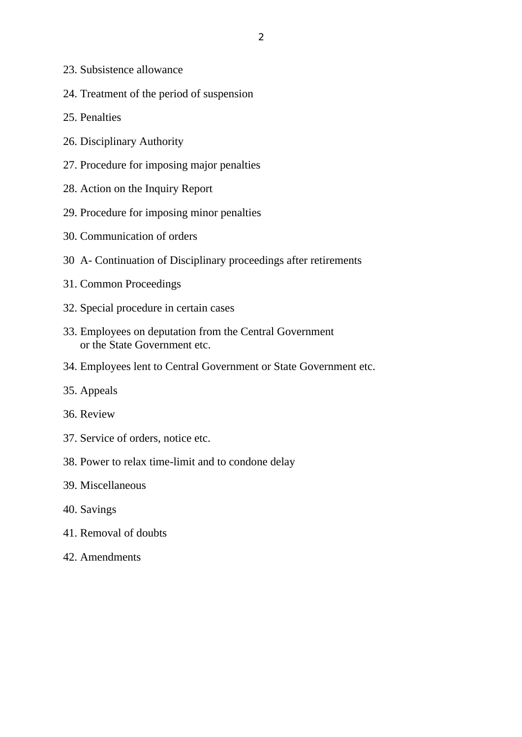- 23. Subsistence allowance
- 24. Treatment of the period of suspension
- 25. Penalties
- 26. Disciplinary Authority
- 27. Procedure for imposing major penalties
- 28. Action on the Inquiry Report
- 29. Procedure for imposing minor penalties
- 30. Communication of orders
- 30 A- Continuation of Disciplinary proceedings after retirements
- 31. Common Proceedings
- 32. Special procedure in certain cases
- 33. Employees on deputation from the Central Government or the State Government etc.
- 34. Employees lent to Central Government or State Government etc.
- 35. Appeals
- 36. Review
- 37. Service of orders, notice etc.
- 38. Power to relax time-limit and to condone delay
- 39. Miscellaneous
- 40. Savings
- 41. Removal of doubts
- 42. Amendments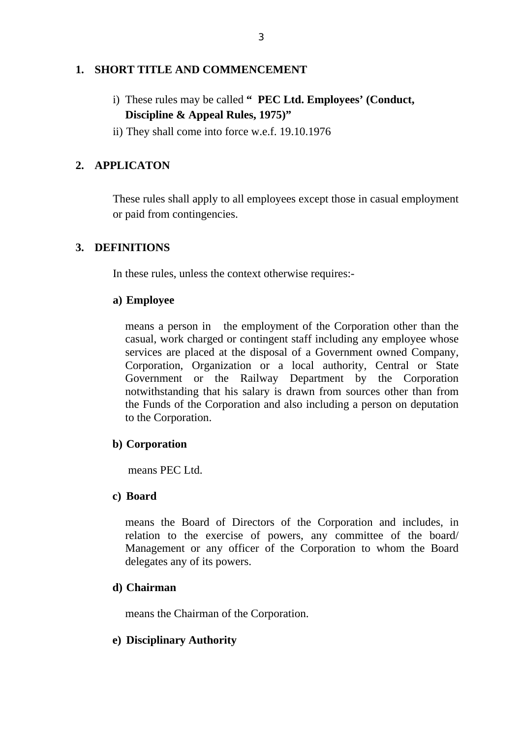#### **1. SHORT TITLE AND COMMENCEMENT**

- i) These rules may be called **" PEC Ltd. Employees' (Conduct, Discipline & Appeal Rules, 1975)"**
- ii) They shall come into force w.e.f. 19.10.1976

# **2. APPLICATON**

These rules shall apply to all employees except those in casual employment or paid from contingencies.

### **3. DEFINITIONS**

In these rules, unless the context otherwise requires:-

#### **a) Employee**

means a person in the employment of the Corporation other than the casual, work charged or contingent staff including any employee whose services are placed at the disposal of a Government owned Company, Corporation, Organization or a local authority, Central or State Government or the Railway Department by the Corporation notwithstanding that his salary is drawn from sources other than from the Funds of the Corporation and also including a person on deputation to the Corporation.

#### **b) Corporation**

means PEC Ltd.

#### **c) Board**

means the Board of Directors of the Corporation and includes, in relation to the exercise of powers, any committee of the board/ Management or any officer of the Corporation to whom the Board delegates any of its powers.

#### **d) Chairman**

means the Chairman of the Corporation.

#### **e) Disciplinary Authority**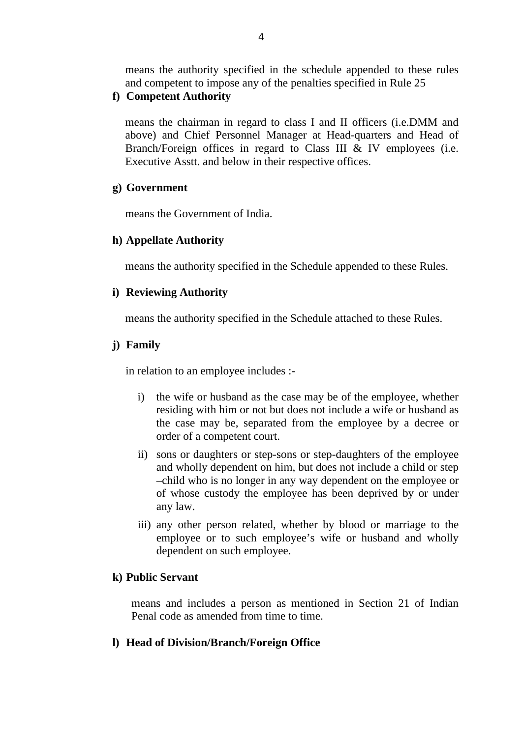means the authority specified in the schedule appended to these rules and competent to impose any of the penalties specified in Rule 25

#### **f) Competent Authority**

means the chairman in regard to class I and II officers (i.e.DMM and above) and Chief Personnel Manager at Head-quarters and Head of Branch/Foreign offices in regard to Class III & IV employees (i.e. Executive Asstt. and below in their respective offices.

#### **g) Government**

means the Government of India.

## **h) Appellate Authority**

means the authority specified in the Schedule appended to these Rules.

### **i) Reviewing Authority**

means the authority specified in the Schedule attached to these Rules.

### **j) Family**

in relation to an employee includes :-

- i) the wife or husband as the case may be of the employee, whether residing with him or not but does not include a wife or husband as the case may be, separated from the employee by a decree or order of a competent court.
- ii) sons or daughters or step-sons or step-daughters of the employee and wholly dependent on him, but does not include a child or step –child who is no longer in any way dependent on the employee or of whose custody the employee has been deprived by or under any law.
- iii) any other person related, whether by blood or marriage to the employee or to such employee's wife or husband and wholly dependent on such employee.

#### **k) Public Servant**

means and includes a person as mentioned in Section 21 of Indian Penal code as amended from time to time.

## **l) Head of Division/Branch/Foreign Office**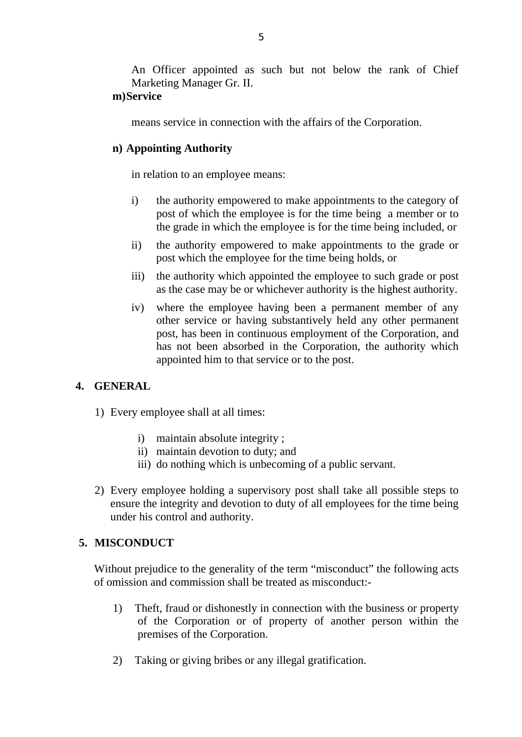An Officer appointed as such but not below the rank of Chief Marketing Manager Gr. II.

### **m)Service**

means service in connection with the affairs of the Corporation.

## **n) Appointing Authority**

in relation to an employee means:

- i) the authority empowered to make appointments to the category of post of which the employee is for the time being a member or to the grade in which the employee is for the time being included, or
- ii) the authority empowered to make appointments to the grade or post which the employee for the time being holds, or
- iii) the authority which appointed the employee to such grade or post as the case may be or whichever authority is the highest authority.
- iv) where the employee having been a permanent member of any other service or having substantively held any other permanent post, has been in continuous employment of the Corporation, and has not been absorbed in the Corporation, the authority which appointed him to that service or to the post.

## **4. GENERAL**

- 1) Every employee shall at all times:
	- i) maintain absolute integrity ;
	- ii) maintain devotion to duty; and
	- iii) do nothing which is unbecoming of a public servant.
- 2) Every employee holding a supervisory post shall take all possible steps to ensure the integrity and devotion to duty of all employees for the time being under his control and authority.

## **5. MISCONDUCT**

Without prejudice to the generality of the term "misconduct" the following acts of omission and commission shall be treated as misconduct:-

- 1) Theft, fraud or dishonestly in connection with the business or property of the Corporation or of property of another person within the premises of the Corporation.
- 2) Taking or giving bribes or any illegal gratification.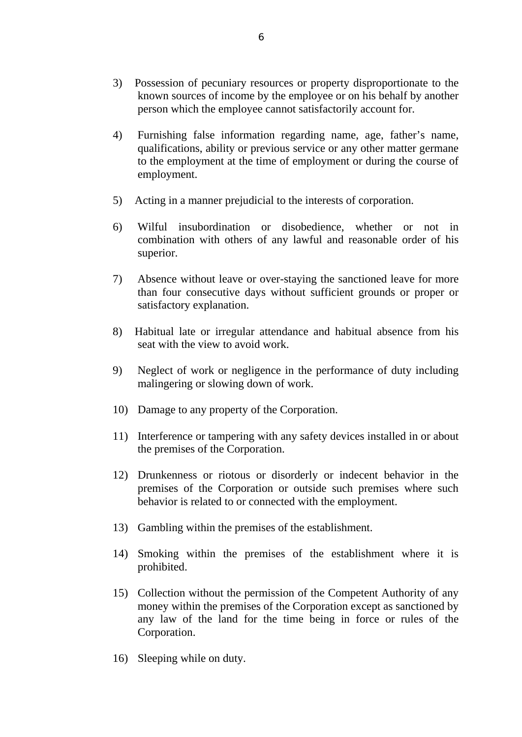- 3) Possession of pecuniary resources or property disproportionate to the known sources of income by the employee or on his behalf by another person which the employee cannot satisfactorily account for.
- 4) Furnishing false information regarding name, age, father's name, qualifications, ability or previous service or any other matter germane to the employment at the time of employment or during the course of employment.
- 5) Acting in a manner prejudicial to the interests of corporation.
- 6) Wilful insubordination or disobedience, whether or not in combination with others of any lawful and reasonable order of his superior.
- 7) Absence without leave or over-staying the sanctioned leave for more than four consecutive days without sufficient grounds or proper or satisfactory explanation.
- 8) Habitual late or irregular attendance and habitual absence from his seat with the view to avoid work.
- 9) Neglect of work or negligence in the performance of duty including malingering or slowing down of work.
- 10) Damage to any property of the Corporation.
- 11) Interference or tampering with any safety devices installed in or about the premises of the Corporation.
- 12) Drunkenness or riotous or disorderly or indecent behavior in the premises of the Corporation or outside such premises where such behavior is related to or connected with the employment.
- 13) Gambling within the premises of the establishment.
- 14) Smoking within the premises of the establishment where it is prohibited.
- 15) Collection without the permission of the Competent Authority of any money within the premises of the Corporation except as sanctioned by any law of the land for the time being in force or rules of the Corporation.
- 16) Sleeping while on duty.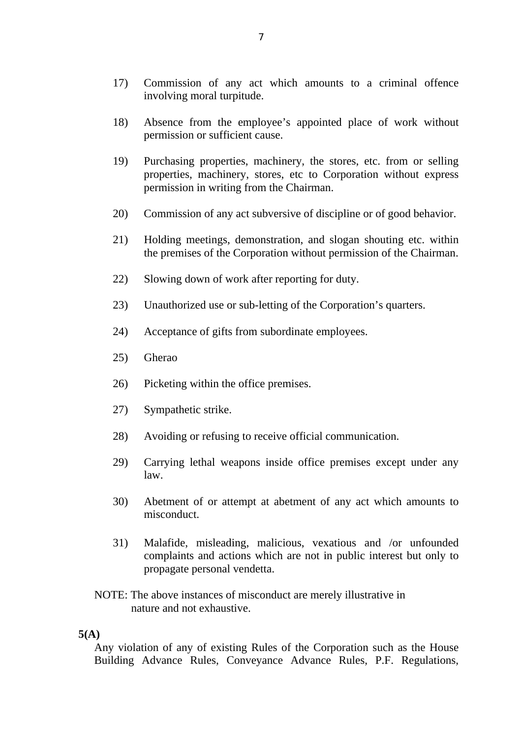- 17) Commission of any act which amounts to a criminal offence involving moral turpitude.
- 18) Absence from the employee's appointed place of work without permission or sufficient cause.
- 19) Purchasing properties, machinery, the stores, etc. from or selling properties, machinery, stores, etc to Corporation without express permission in writing from the Chairman.
- 20) Commission of any act subversive of discipline or of good behavior.
- 21) Holding meetings, demonstration, and slogan shouting etc. within the premises of the Corporation without permission of the Chairman.
- 22) Slowing down of work after reporting for duty.
- 23) Unauthorized use or sub-letting of the Corporation's quarters.
- 24) Acceptance of gifts from subordinate employees.
- 25) Gherao
- 26) Picketing within the office premises.
- 27) Sympathetic strike.
- 28) Avoiding or refusing to receive official communication.
- 29) Carrying lethal weapons inside office premises except under any law.
- 30) Abetment of or attempt at abetment of any act which amounts to misconduct.
- 31) Malafide, misleading, malicious, vexatious and /or unfounded complaints and actions which are not in public interest but only to propagate personal vendetta.
- NOTE: The above instances of misconduct are merely illustrative in nature and not exhaustive.

#### **5(A)**

Any violation of any of existing Rules of the Corporation such as the House Building Advance Rules, Conveyance Advance Rules, P.F. Regulations,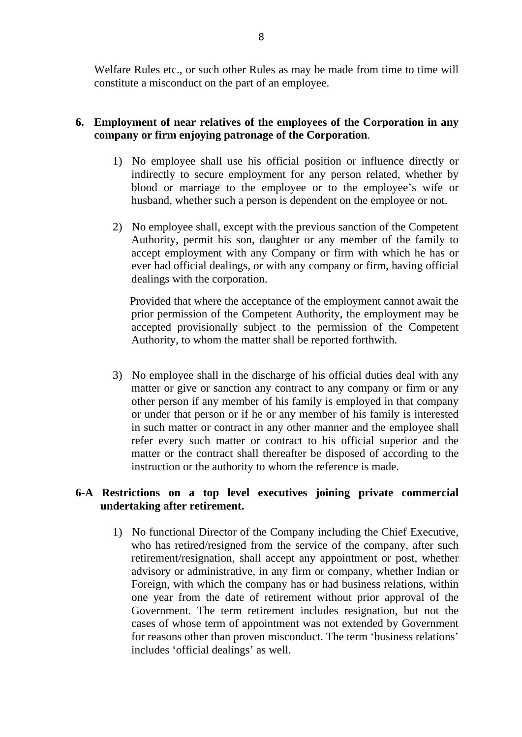Welfare Rules etc., or such other Rules as may be made from time to time will constitute a misconduct on the part of an employee.

## **6. Employment of near relatives of the employees of the Corporation in any company or firm enjoying patronage of the Corporation**.

- 1) No employee shall use his official position or influence directly or indirectly to secure employment for any person related, whether by blood or marriage to the employee or to the employee's wife or husband, whether such a person is dependent on the employee or not.
- 2) No employee shall, except with the previous sanction of the Competent Authority, permit his son, daughter or any member of the family to accept employment with any Company or firm with which he has or ever had official dealings, or with any company or firm, having official dealings with the corporation.

 Provided that where the acceptance of the employment cannot await the prior permission of the Competent Authority, the employment may be accepted provisionally subject to the permission of the Competent Authority, to whom the matter shall be reported forthwith.

3) No employee shall in the discharge of his official duties deal with any matter or give or sanction any contract to any company or firm or any other person if any member of his family is employed in that company or under that person or if he or any member of his family is interested in such matter or contract in any other manner and the employee shall refer every such matter or contract to his official superior and the matter or the contract shall thereafter be disposed of according to the instruction or the authority to whom the reference is made.

## **6-A Restrictions on a top level executives joining private commercial undertaking after retirement.**

1) No functional Director of the Company including the Chief Executive, who has retired/resigned from the service of the company, after such retirement/resignation, shall accept any appointment or post, whether advisory or administrative, in any firm or company, whether Indian or Foreign, with which the company has or had business relations, within one year from the date of retirement without prior approval of the Government. The term retirement includes resignation, but not the cases of whose term of appointment was not extended by Government for reasons other than proven misconduct. The term 'business relations' includes 'official dealings' as well.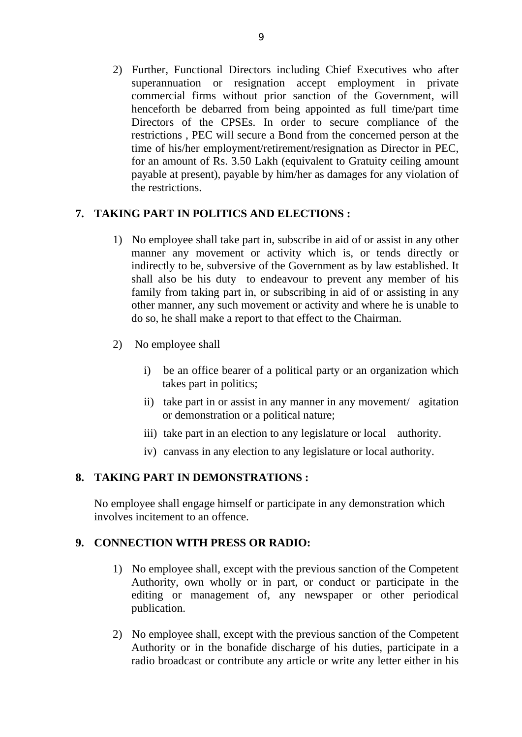2) Further, Functional Directors including Chief Executives who after superannuation or resignation accept employment in private commercial firms without prior sanction of the Government, will henceforth be debarred from being appointed as full time/part time Directors of the CPSEs. In order to secure compliance of the restrictions , PEC will secure a Bond from the concerned person at the time of his/her employment/retirement/resignation as Director in PEC, for an amount of Rs. 3.50 Lakh (equivalent to Gratuity ceiling amount payable at present), payable by him/her as damages for any violation of the restrictions.

# **7. TAKING PART IN POLITICS AND ELECTIONS :**

- 1) No employee shall take part in, subscribe in aid of or assist in any other manner any movement or activity which is, or tends directly or indirectly to be, subversive of the Government as by law established. It shall also be his duty to endeavour to prevent any member of his family from taking part in, or subscribing in aid of or assisting in any other manner, any such movement or activity and where he is unable to do so, he shall make a report to that effect to the Chairman.
- 2) No employee shall
	- i) be an office bearer of a political party or an organization which takes part in politics;
	- ii) take part in or assist in any manner in any movement/ agitation or demonstration or a political nature;
	- iii) take part in an election to any legislature or local authority.
	- iv) canvass in any election to any legislature or local authority.

## **8. TAKING PART IN DEMONSTRATIONS :**

No employee shall engage himself or participate in any demonstration which involves incitement to an offence.

## **9. CONNECTION WITH PRESS OR RADIO:**

- 1) No employee shall, except with the previous sanction of the Competent Authority, own wholly or in part, or conduct or participate in the editing or management of, any newspaper or other periodical publication.
- 2) No employee shall, except with the previous sanction of the Competent Authority or in the bonafide discharge of his duties, participate in a radio broadcast or contribute any article or write any letter either in his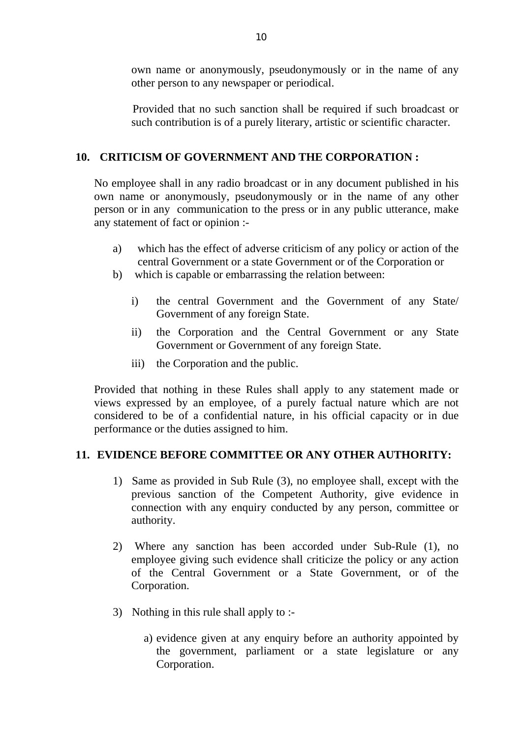own name or anonymously, pseudonymously or in the name of any other person to any newspaper or periodical.

 Provided that no such sanction shall be required if such broadcast or such contribution is of a purely literary, artistic or scientific character.

# **10. CRITICISM OF GOVERNMENT AND THE CORPORATION :**

No employee shall in any radio broadcast or in any document published in his own name or anonymously, pseudonymously or in the name of any other person or in any communication to the press or in any public utterance, make any statement of fact or opinion :-

- a) which has the effect of adverse criticism of any policy or action of the central Government or a state Government or of the Corporation or
- b) which is capable or embarrassing the relation between:
	- i) the central Government and the Government of any State/ Government of any foreign State.
	- ii) the Corporation and the Central Government or any State Government or Government of any foreign State.
	- iii) the Corporation and the public.

Provided that nothing in these Rules shall apply to any statement made or views expressed by an employee, of a purely factual nature which are not considered to be of a confidential nature, in his official capacity or in due performance or the duties assigned to him.

## **11. EVIDENCE BEFORE COMMITTEE OR ANY OTHER AUTHORITY:**

- 1) Same as provided in Sub Rule (3), no employee shall, except with the previous sanction of the Competent Authority, give evidence in connection with any enquiry conducted by any person, committee or authority.
- 2) Where any sanction has been accorded under Sub-Rule (1), no employee giving such evidence shall criticize the policy or any action of the Central Government or a State Government, or of the Corporation.
- 3) Nothing in this rule shall apply to :
	- a) evidence given at any enquiry before an authority appointed by the government, parliament or a state legislature or any Corporation.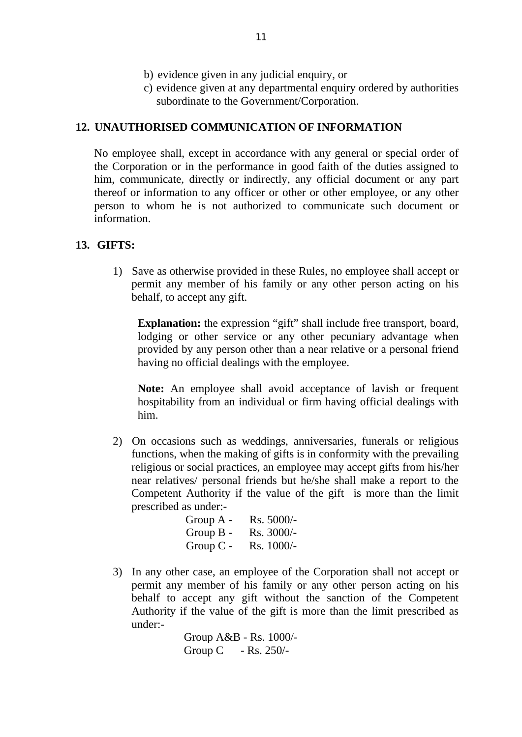- b) evidence given in any judicial enquiry, or
- c) evidence given at any departmental enquiry ordered by authorities subordinate to the Government/Corporation.

#### **12. UNAUTHORISED COMMUNICATION OF INFORMATION**

No employee shall, except in accordance with any general or special order of the Corporation or in the performance in good faith of the duties assigned to him, communicate, directly or indirectly, any official document or any part thereof or information to any officer or other or other employee, or any other person to whom he is not authorized to communicate such document or information.

#### **13. GIFTS:**

1) Save as otherwise provided in these Rules, no employee shall accept or permit any member of his family or any other person acting on his behalf, to accept any gift.

**Explanation:** the expression "gift" shall include free transport, board, lodging or other service or any other pecuniary advantage when provided by any person other than a near relative or a personal friend having no official dealings with the employee.

**Note:** An employee shall avoid acceptance of lavish or frequent hospitability from an individual or firm having official dealings with him.

2) On occasions such as weddings, anniversaries, funerals or religious functions, when the making of gifts is in conformity with the prevailing religious or social practices, an employee may accept gifts from his/her near relatives/ personal friends but he/she shall make a report to the Competent Authority if the value of the gift is more than the limit prescribed as under:-

| Group $A -$ | $Rs. 5000/-$ |
|-------------|--------------|
| Group $B -$ | $Rs. 3000/-$ |
| $Group C-$  | $Rs. 1000/-$ |

3) In any other case, an employee of the Corporation shall not accept or permit any member of his family or any other person acting on his behalf to accept any gift without the sanction of the Competent Authority if the value of the gift is more than the limit prescribed as under:-

 Group A&B - Rs. 1000/- Group C - Rs. 250/-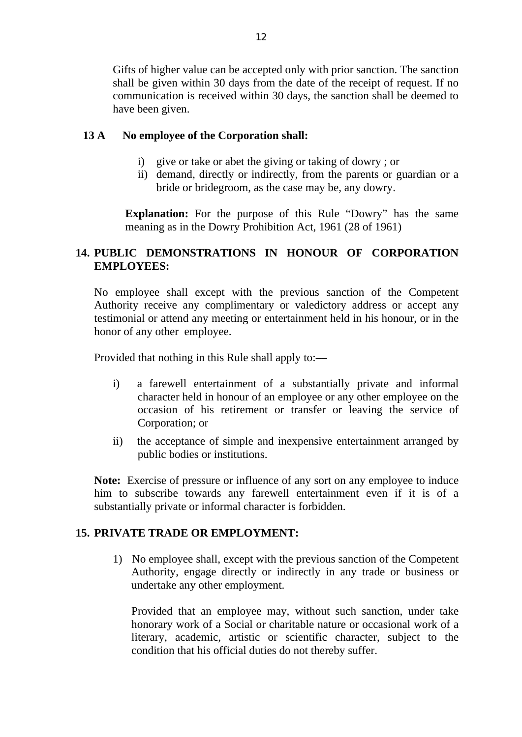Gifts of higher value can be accepted only with prior sanction. The sanction shall be given within 30 days from the date of the receipt of request. If no communication is received within 30 days, the sanction shall be deemed to have been given.

## **13 A No employee of the Corporation shall:**

- i) give or take or abet the giving or taking of dowry ; or
- ii) demand, directly or indirectly, from the parents or guardian or a bride or bridegroom, as the case may be, any dowry.

**Explanation:** For the purpose of this Rule "Dowry" has the same meaning as in the Dowry Prohibition Act, 1961 (28 of 1961)

## **14. PUBLIC DEMONSTRATIONS IN HONOUR OF CORPORATION EMPLOYEES:**

No employee shall except with the previous sanction of the Competent Authority receive any complimentary or valedictory address or accept any testimonial or attend any meeting or entertainment held in his honour, or in the honor of any other employee.

Provided that nothing in this Rule shall apply to:—

- i) a farewell entertainment of a substantially private and informal character held in honour of an employee or any other employee on the occasion of his retirement or transfer or leaving the service of Corporation; or
- ii) the acceptance of simple and inexpensive entertainment arranged by public bodies or institutions.

**Note:** Exercise of pressure or influence of any sort on any employee to induce him to subscribe towards any farewell entertainment even if it is of a substantially private or informal character is forbidden.

## **15. PRIVATE TRADE OR EMPLOYMENT:**

1) No employee shall, except with the previous sanction of the Competent Authority, engage directly or indirectly in any trade or business or undertake any other employment.

Provided that an employee may, without such sanction, under take honorary work of a Social or charitable nature or occasional work of a literary, academic, artistic or scientific character, subject to the condition that his official duties do not thereby suffer.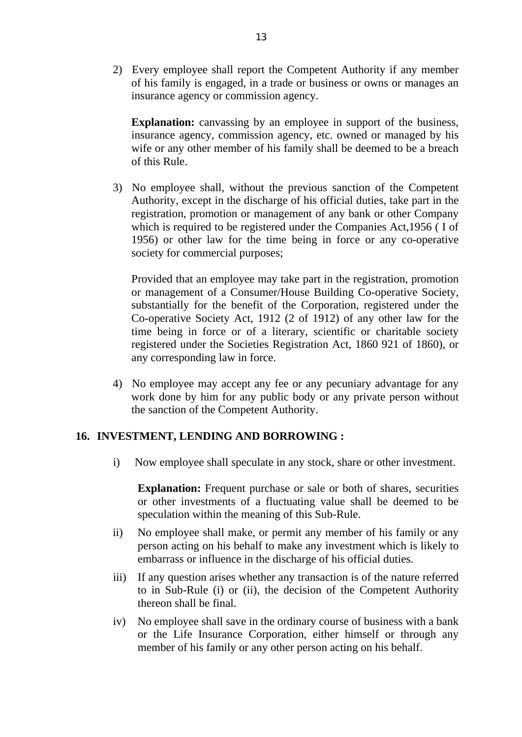2) Every employee shall report the Competent Authority if any member of his family is engaged, in a trade or business or owns or manages an insurance agency or commission agency.

**Explanation:** canvassing by an employee in support of the business, insurance agency, commission agency, etc. owned or managed by his wife or any other member of his family shall be deemed to be a breach of this Rule.

3) No employee shall, without the previous sanction of the Competent Authority, except in the discharge of his official duties, take part in the registration, promotion or management of any bank or other Company which is required to be registered under the Companies Act,1956 ( I of 1956) or other law for the time being in force or any co-operative society for commercial purposes;

Provided that an employee may take part in the registration, promotion or management of a Consumer/House Building Co-operative Society, substantially for the benefit of the Corporation, registered under the Co-operative Society Act, 1912 (2 of 1912) of any other law for the time being in force or of a literary, scientific or charitable society registered under the Societies Registration Act, 1860 921 of 1860), or any corresponding law in force.

4) No employee may accept any fee or any pecuniary advantage for any work done by him for any public body or any private person without the sanction of the Competent Authority.

#### **16. INVESTMENT, LENDING AND BORROWING :**

i) Now employee shall speculate in any stock, share or other investment.

**Explanation:** Frequent purchase or sale or both of shares, securities or other investments of a fluctuating value shall be deemed to be speculation within the meaning of this Sub-Rule.

- ii) No employee shall make, or permit any member of his family or any person acting on his behalf to make any investment which is likely to embarrass or influence in the discharge of his official duties.
- iii) If any question arises whether any transaction is of the nature referred to in Sub-Rule (i) or (ii), the decision of the Competent Authority thereon shall be final.
- iv) No employee shall save in the ordinary course of business with a bank or the Life Insurance Corporation, either himself or through any member of his family or any other person acting on his behalf.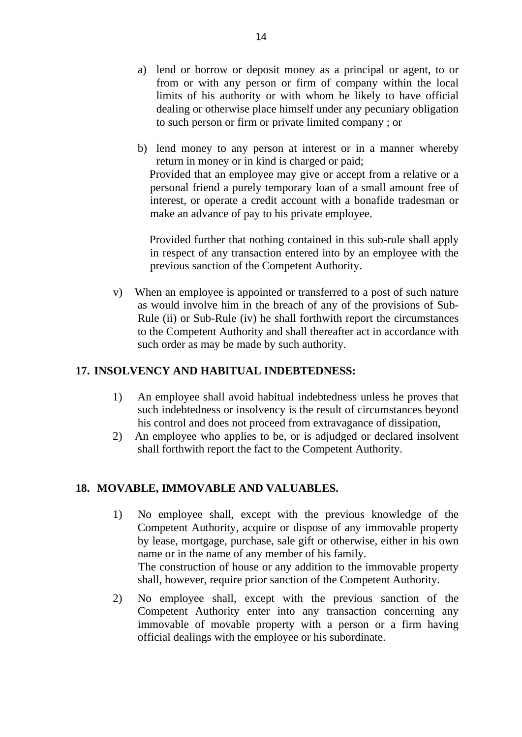- a) lend or borrow or deposit money as a principal or agent, to or from or with any person or firm of company within the local limits of his authority or with whom he likely to have official dealing or otherwise place himself under any pecuniary obligation to such person or firm or private limited company ; or
- b) lend money to any person at interest or in a manner whereby return in money or in kind is charged or paid; Provided that an employee may give or accept from a relative or a personal friend a purely temporary loan of a small amount free of interest, or operate a credit account with a bonafide tradesman or make an advance of pay to his private employee.

 Provided further that nothing contained in this sub-rule shall apply in respect of any transaction entered into by an employee with the previous sanction of the Competent Authority.

v) When an employee is appointed or transferred to a post of such nature as would involve him in the breach of any of the provisions of Sub-Rule (ii) or Sub-Rule (iv) he shall forthwith report the circumstances to the Competent Authority and shall thereafter act in accordance with such order as may be made by such authority.

## **17. INSOLVENCY AND HABITUAL INDEBTEDNESS:**

- 1) An employee shall avoid habitual indebtedness unless he proves that such indebtedness or insolvency is the result of circumstances beyond his control and does not proceed from extravagance of dissipation,
- 2) An employee who applies to be, or is adjudged or declared insolvent shall forthwith report the fact to the Competent Authority.

# **18. MOVABLE, IMMOVABLE AND VALUABLES.**

- 1) No employee shall, except with the previous knowledge of the Competent Authority, acquire or dispose of any immovable property by lease, mortgage, purchase, sale gift or otherwise, either in his own name or in the name of any member of his family. The construction of house or any addition to the immovable property shall, however, require prior sanction of the Competent Authority.
- 2) No employee shall, except with the previous sanction of the Competent Authority enter into any transaction concerning any immovable of movable property with a person or a firm having official dealings with the employee or his subordinate.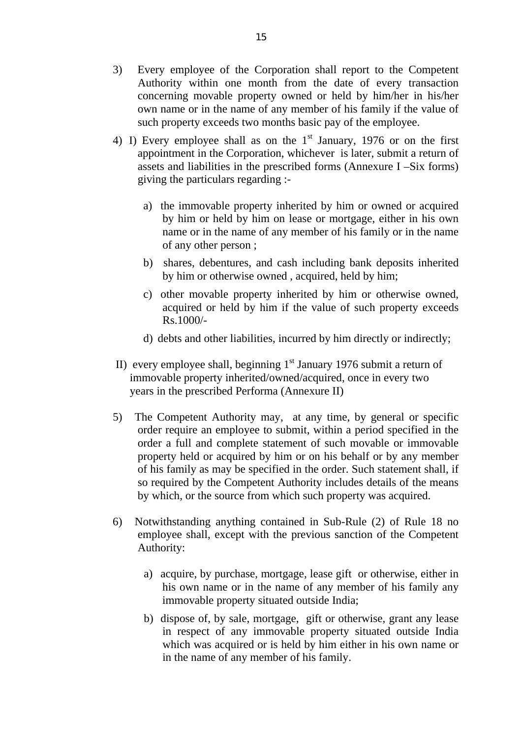- 3) Every employee of the Corporation shall report to the Competent Authority within one month from the date of every transaction concerning movable property owned or held by him/her in his/her own name or in the name of any member of his family if the value of such property exceeds two months basic pay of the employee.
- 4) I) Every employee shall as on the  $1<sup>st</sup>$  January, 1976 or on the first appointment in the Corporation, whichever is later, submit a return of assets and liabilities in the prescribed forms (Annexure I –Six forms) giving the particulars regarding :
	- a) the immovable property inherited by him or owned or acquired by him or held by him on lease or mortgage, either in his own name or in the name of any member of his family or in the name of any other person ;
	- b) shares, debentures, and cash including bank deposits inherited by him or otherwise owned , acquired, held by him;
	- c) other movable property inherited by him or otherwise owned, acquired or held by him if the value of such property exceeds Rs.1000/-
	- d) debts and other liabilities, incurred by him directly or indirectly;
- II) every employee shall, beginning  $1<sup>st</sup>$  January 1976 submit a return of immovable property inherited/owned/acquired, once in every two years in the prescribed Performa (Annexure II)
- 5) The Competent Authority may, at any time, by general or specific order require an employee to submit, within a period specified in the order a full and complete statement of such movable or immovable property held or acquired by him or on his behalf or by any member of his family as may be specified in the order. Such statement shall, if so required by the Competent Authority includes details of the means by which, or the source from which such property was acquired.
- 6) Notwithstanding anything contained in Sub-Rule (2) of Rule 18 no employee shall, except with the previous sanction of the Competent Authority:
	- a) acquire, by purchase, mortgage, lease gift or otherwise, either in his own name or in the name of any member of his family any immovable property situated outside India;
	- b) dispose of, by sale, mortgage, gift or otherwise, grant any lease in respect of any immovable property situated outside India which was acquired or is held by him either in his own name or in the name of any member of his family.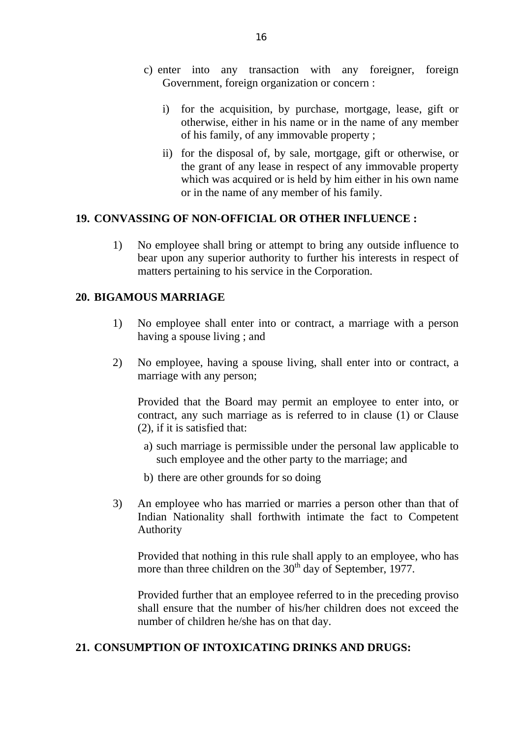- c) enter into any transaction with any foreigner, foreign Government, foreign organization or concern :
	- i) for the acquisition, by purchase, mortgage, lease, gift or otherwise, either in his name or in the name of any member of his family, of any immovable property ;
	- ii) for the disposal of, by sale, mortgage, gift or otherwise, or the grant of any lease in respect of any immovable property which was acquired or is held by him either in his own name or in the name of any member of his family.

#### **19. CONVASSING OF NON-OFFICIAL OR OTHER INFLUENCE :**

1) No employee shall bring or attempt to bring any outside influence to bear upon any superior authority to further his interests in respect of matters pertaining to his service in the Corporation.

#### **20. BIGAMOUS MARRIAGE**

- 1) No employee shall enter into or contract, a marriage with a person having a spouse living ; and
- 2) No employee, having a spouse living, shall enter into or contract, a marriage with any person;

Provided that the Board may permit an employee to enter into, or contract, any such marriage as is referred to in clause (1) or Clause (2), if it is satisfied that:

- a) such marriage is permissible under the personal law applicable to such employee and the other party to the marriage; and
- b) there are other grounds for so doing
- 3) An employee who has married or marries a person other than that of Indian Nationality shall forthwith intimate the fact to Competent Authority

Provided that nothing in this rule shall apply to an employee, who has more than three children on the  $30<sup>th</sup>$  day of September, 1977.

Provided further that an employee referred to in the preceding proviso shall ensure that the number of his/her children does not exceed the number of children he/she has on that day.

#### **21. CONSUMPTION OF INTOXICATING DRINKS AND DRUGS:**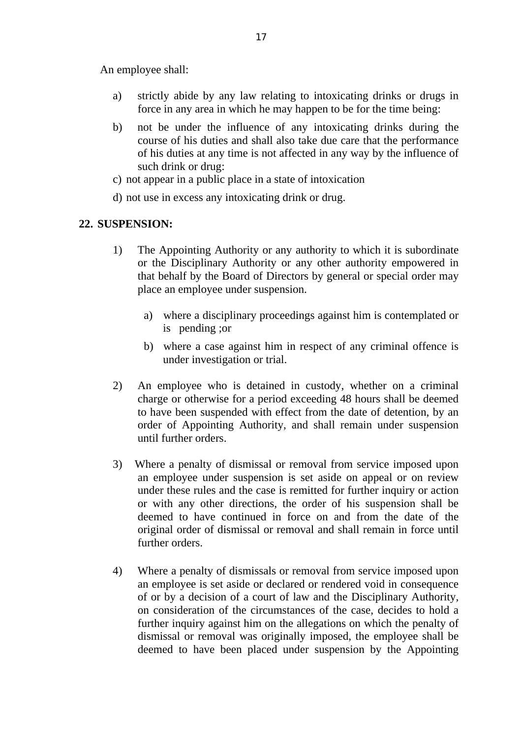An employee shall:

- a) strictly abide by any law relating to intoxicating drinks or drugs in force in any area in which he may happen to be for the time being:
- b) not be under the influence of any intoxicating drinks during the course of his duties and shall also take due care that the performance of his duties at any time is not affected in any way by the influence of such drink or drug:
- c) not appear in a public place in a state of intoxication
- d) not use in excess any intoxicating drink or drug.

### **22. SUSPENSION:**

- 1) The Appointing Authority or any authority to which it is subordinate or the Disciplinary Authority or any other authority empowered in that behalf by the Board of Directors by general or special order may place an employee under suspension.
	- a) where a disciplinary proceedings against him is contemplated or is pending ;or
	- b) where a case against him in respect of any criminal offence is under investigation or trial.
- 2) An employee who is detained in custody, whether on a criminal charge or otherwise for a period exceeding 48 hours shall be deemed to have been suspended with effect from the date of detention, by an order of Appointing Authority, and shall remain under suspension until further orders.
- 3) Where a penalty of dismissal or removal from service imposed upon an employee under suspension is set aside on appeal or on review under these rules and the case is remitted for further inquiry or action or with any other directions, the order of his suspension shall be deemed to have continued in force on and from the date of the original order of dismissal or removal and shall remain in force until further orders.
- 4) Where a penalty of dismissals or removal from service imposed upon an employee is set aside or declared or rendered void in consequence of or by a decision of a court of law and the Disciplinary Authority, on consideration of the circumstances of the case, decides to hold a further inquiry against him on the allegations on which the penalty of dismissal or removal was originally imposed, the employee shall be deemed to have been placed under suspension by the Appointing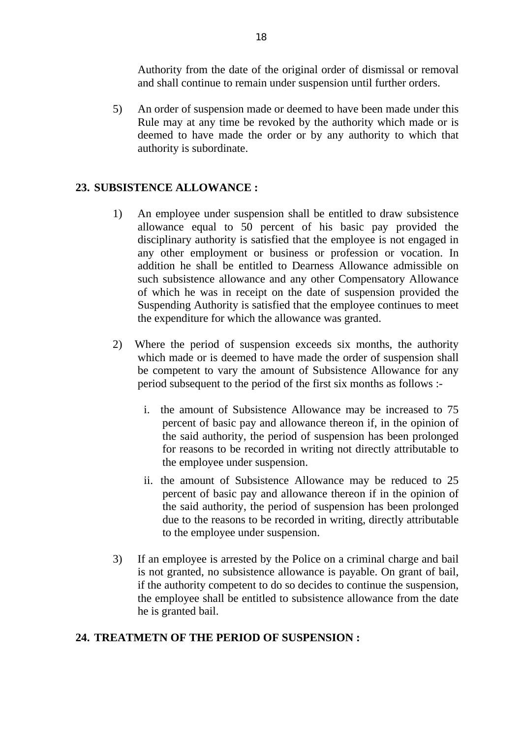Authority from the date of the original order of dismissal or removal and shall continue to remain under suspension until further orders.

5) An order of suspension made or deemed to have been made under this Rule may at any time be revoked by the authority which made or is deemed to have made the order or by any authority to which that authority is subordinate.

### **23. SUBSISTENCE ALLOWANCE :**

- 1) An employee under suspension shall be entitled to draw subsistence allowance equal to 50 percent of his basic pay provided the disciplinary authority is satisfied that the employee is not engaged in any other employment or business or profession or vocation. In addition he shall be entitled to Dearness Allowance admissible on such subsistence allowance and any other Compensatory Allowance of which he was in receipt on the date of suspension provided the Suspending Authority is satisfied that the employee continues to meet the expenditure for which the allowance was granted.
- 2) Where the period of suspension exceeds six months, the authority which made or is deemed to have made the order of suspension shall be competent to vary the amount of Subsistence Allowance for any period subsequent to the period of the first six months as follows :
	- i. the amount of Subsistence Allowance may be increased to 75 percent of basic pay and allowance thereon if, in the opinion of the said authority, the period of suspension has been prolonged for reasons to be recorded in writing not directly attributable to the employee under suspension.
	- ii. the amount of Subsistence Allowance may be reduced to 25 percent of basic pay and allowance thereon if in the opinion of the said authority, the period of suspension has been prolonged due to the reasons to be recorded in writing, directly attributable to the employee under suspension.
- 3) If an employee is arrested by the Police on a criminal charge and bail is not granted, no subsistence allowance is payable. On grant of bail, if the authority competent to do so decides to continue the suspension, the employee shall be entitled to subsistence allowance from the date he is granted bail.

# **24. TREATMETN OF THE PERIOD OF SUSPENSION :**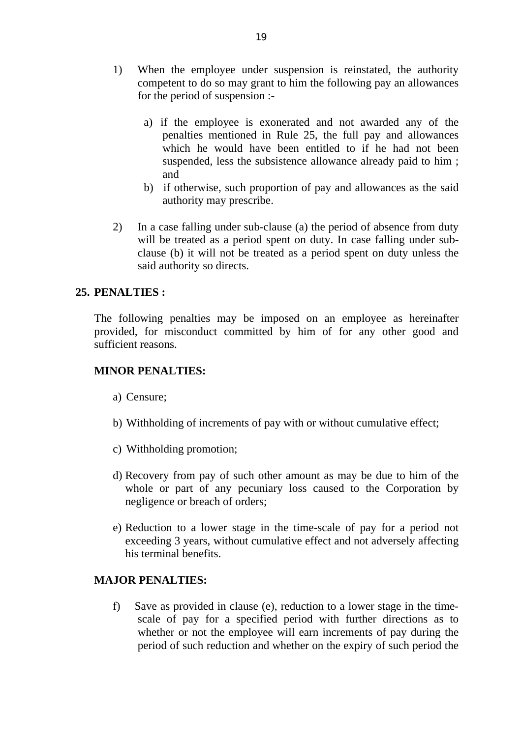- 1) When the employee under suspension is reinstated, the authority competent to do so may grant to him the following pay an allowances for the period of suspension :
	- a) if the employee is exonerated and not awarded any of the penalties mentioned in Rule 25, the full pay and allowances which he would have been entitled to if he had not been suspended, less the subsistence allowance already paid to him; and
	- b) if otherwise, such proportion of pay and allowances as the said authority may prescribe.
- 2) In a case falling under sub-clause (a) the period of absence from duty will be treated as a period spent on duty. In case falling under subclause (b) it will not be treated as a period spent on duty unless the said authority so directs.

### **25. PENALTIES :**

The following penalties may be imposed on an employee as hereinafter provided, for misconduct committed by him of for any other good and sufficient reasons.

#### **MINOR PENALTIES:**

- a) Censure;
- b) Withholding of increments of pay with or without cumulative effect;
- c) Withholding promotion;
- d) Recovery from pay of such other amount as may be due to him of the whole or part of any pecuniary loss caused to the Corporation by negligence or breach of orders;
- e) Reduction to a lower stage in the time-scale of pay for a period not exceeding 3 years, without cumulative effect and not adversely affecting his terminal benefits.

#### **MAJOR PENALTIES:**

f) Save as provided in clause (e), reduction to a lower stage in the timescale of pay for a specified period with further directions as to whether or not the employee will earn increments of pay during the period of such reduction and whether on the expiry of such period the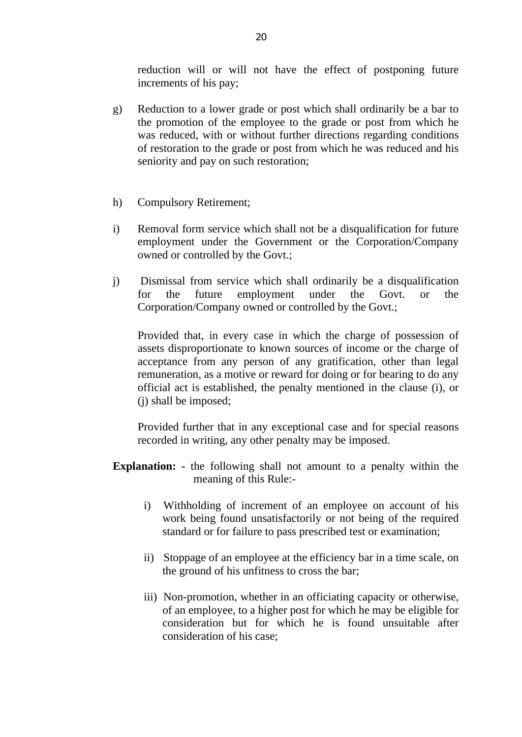reduction will or will not have the effect of postponing future increments of his pay;

- g) Reduction to a lower grade or post which shall ordinarily be a bar to the promotion of the employee to the grade or post from which he was reduced, with or without further directions regarding conditions of restoration to the grade or post from which he was reduced and his seniority and pay on such restoration;
- h) Compulsory Retirement;
- i) Removal form service which shall not be a disqualification for future employment under the Government or the Corporation/Company owned or controlled by the Govt.;
- j) Dismissal from service which shall ordinarily be a disqualification for the future employment under the Govt. or the Corporation/Company owned or controlled by the Govt.;

Provided that, in every case in which the charge of possession of assets disproportionate to known sources of income or the charge of acceptance from any person of any gratification, other than legal remuneration, as a motive or reward for doing or for bearing to do any official act is established, the penalty mentioned in the clause (i), or (j) shall be imposed;

Provided further that in any exceptional case and for special reasons recorded in writing, any other penalty may be imposed.

- **Explanation: -** the following shall not amount to a penalty within the meaning of this Rule:
	- i) Withholding of increment of an employee on account of his work being found unsatisfactorily or not being of the required standard or for failure to pass prescribed test or examination;
	- ii) Stoppage of an employee at the efficiency bar in a time scale, on the ground of his unfitness to cross the bar;
	- iii) Non-promotion, whether in an officiating capacity or otherwise, of an employee, to a higher post for which he may be eligible for consideration but for which he is found unsuitable after consideration of his case;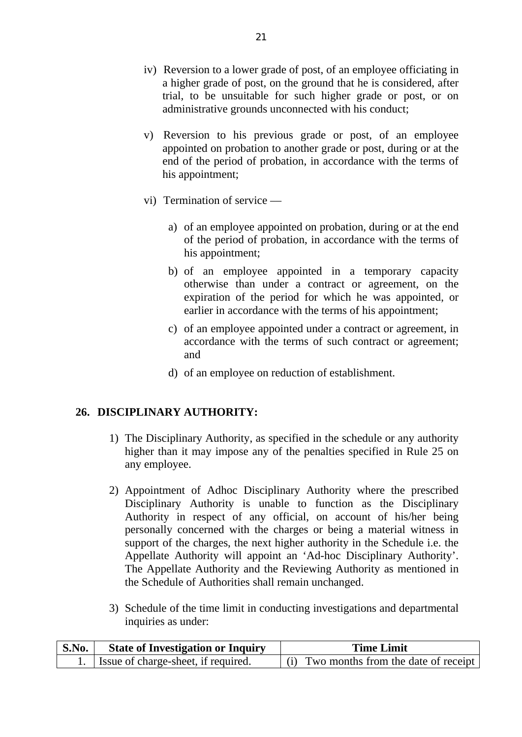- iv) Reversion to a lower grade of post, of an employee officiating in a higher grade of post, on the ground that he is considered, after trial, to be unsuitable for such higher grade or post, or on administrative grounds unconnected with his conduct;
- v) Reversion to his previous grade or post, of an employee appointed on probation to another grade or post, during or at the end of the period of probation, in accordance with the terms of his appointment;
- vi) Termination of service ––
	- a) of an employee appointed on probation, during or at the end of the period of probation, in accordance with the terms of his appointment;
	- b) of an employee appointed in a temporary capacity otherwise than under a contract or agreement, on the expiration of the period for which he was appointed, or earlier in accordance with the terms of his appointment;
	- c) of an employee appointed under a contract or agreement, in accordance with the terms of such contract or agreement; and
	- d) of an employee on reduction of establishment.

## **26. DISCIPLINARY AUTHORITY:**

- 1) The Disciplinary Authority, as specified in the schedule or any authority higher than it may impose any of the penalties specified in Rule 25 on any employee.
- 2) Appointment of Adhoc Disciplinary Authority where the prescribed Disciplinary Authority is unable to function as the Disciplinary Authority in respect of any official, on account of his/her being personally concerned with the charges or being a material witness in support of the charges, the next higher authority in the Schedule i.e. the Appellate Authority will appoint an 'Ad-hoc Disciplinary Authority'. The Appellate Authority and the Reviewing Authority as mentioned in the Schedule of Authorities shall remain unchanged.
- 3) Schedule of the time limit in conducting investigations and departmental inquiries as under:

| S.No.<br><b>State of Investigation or Inquiry</b> |                                     | <b>Time Limit</b>                       |  |  |
|---------------------------------------------------|-------------------------------------|-----------------------------------------|--|--|
|                                                   | Issue of charge-sheet, if required. | (i) Two months from the date of receipt |  |  |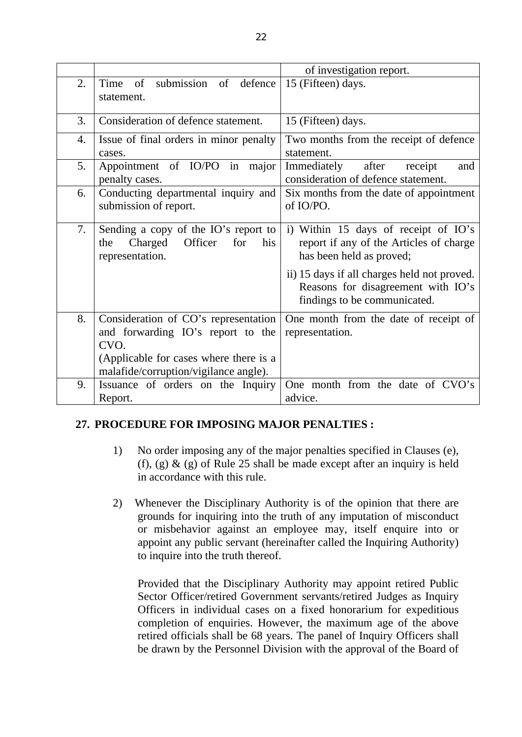|    |                                                                                                                             | of investigation report.                                                                                          |  |  |  |
|----|-----------------------------------------------------------------------------------------------------------------------------|-------------------------------------------------------------------------------------------------------------------|--|--|--|
| 2. | of<br>submission<br>of<br>defence<br>Time<br>statement.                                                                     | 15 (Fifteen) days.                                                                                                |  |  |  |
| 3. | Consideration of defence statement.                                                                                         | 15 (Fifteen) days.                                                                                                |  |  |  |
| 4. | Issue of final orders in minor penalty<br>cases.                                                                            | Two months from the receipt of defence<br>statement.                                                              |  |  |  |
| 5. | of IO/PO<br>Appointment<br>in major<br>penalty cases.                                                                       | Immediately<br>after<br>receipt<br>and<br>consideration of defence statement.                                     |  |  |  |
| 6. | Conducting departmental inquiry and<br>submission of report.                                                                | Six months from the date of appointment<br>of IO/PO.                                                              |  |  |  |
| 7. | Sending a copy of the IO's report to<br>Charged<br>for<br>Officer<br>his<br>the<br>representation.                          | i) Within 15 days of receipt of IO's<br>report if any of the Articles of charge<br>has been held as proved;       |  |  |  |
|    |                                                                                                                             | ii) 15 days if all charges held not proved.<br>Reasons for disagreement with IO's<br>findings to be communicated. |  |  |  |
| 8. | Consideration of CO's representation<br>and forwarding IO's report to the<br>CVO.<br>(Applicable for cases where there is a | One month from the date of receipt of<br>representation.                                                          |  |  |  |
|    | malafide/corruption/vigilance angle).                                                                                       |                                                                                                                   |  |  |  |
| 9. | Issuance of orders on the Inquiry<br>Report.                                                                                | One month from the date of CVO's<br>advice.                                                                       |  |  |  |

# **27. PROCEDURE FOR IMPOSING MAJOR PENALTIES :**

- 1) No order imposing any of the major penalties specified in Clauses (e), (f), (g)  $\&$  (g) of Rule 25 shall be made except after an inquiry is held in accordance with this rule.
- 2) Whenever the Disciplinary Authority is of the opinion that there are grounds for inquiring into the truth of any imputation of misconduct or misbehavior against an employee may, itself enquire into or appoint any public servant (hereinafter called the Inquiring Authority) to inquire into the truth thereof.

Provided that the Disciplinary Authority may appoint retired Public Sector Officer/retired Government servants/retired Judges as Inquiry Officers in individual cases on a fixed honorarium for expeditious completion of enquiries. However, the maximum age of the above retired officials shall be 68 years. The panel of Inquiry Officers shall be drawn by the Personnel Division with the approval of the Board of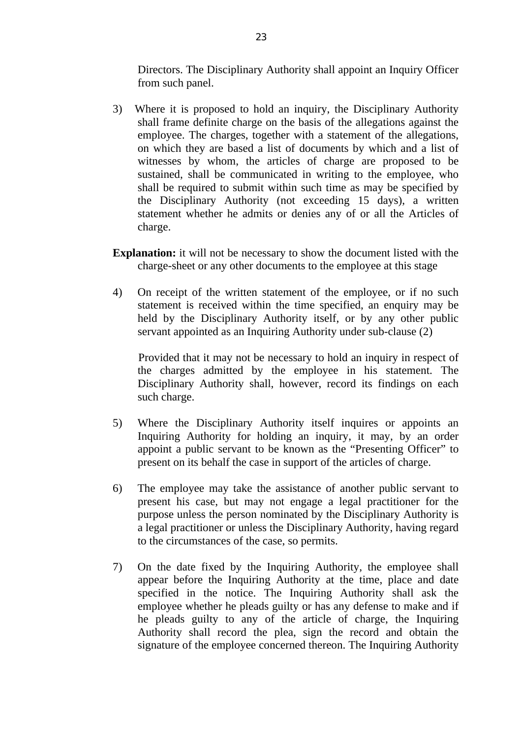Directors. The Disciplinary Authority shall appoint an Inquiry Officer from such panel.

- 3) Where it is proposed to hold an inquiry, the Disciplinary Authority shall frame definite charge on the basis of the allegations against the employee. The charges, together with a statement of the allegations, on which they are based a list of documents by which and a list of witnesses by whom, the articles of charge are proposed to be sustained, shall be communicated in writing to the employee, who shall be required to submit within such time as may be specified by the Disciplinary Authority (not exceeding 15 days), a written statement whether he admits or denies any of or all the Articles of charge.
- **Explanation:** it will not be necessary to show the document listed with the charge-sheet or any other documents to the employee at this stage
- 4) On receipt of the written statement of the employee, or if no such statement is received within the time specified, an enquiry may be held by the Disciplinary Authority itself, or by any other public servant appointed as an Inquiring Authority under sub-clause (2)

 Provided that it may not be necessary to hold an inquiry in respect of the charges admitted by the employee in his statement. The Disciplinary Authority shall, however, record its findings on each such charge.

- 5) Where the Disciplinary Authority itself inquires or appoints an Inquiring Authority for holding an inquiry, it may, by an order appoint a public servant to be known as the "Presenting Officer" to present on its behalf the case in support of the articles of charge.
- 6) The employee may take the assistance of another public servant to present his case, but may not engage a legal practitioner for the purpose unless the person nominated by the Disciplinary Authority is a legal practitioner or unless the Disciplinary Authority, having regard to the circumstances of the case, so permits.
- 7) On the date fixed by the Inquiring Authority, the employee shall appear before the Inquiring Authority at the time, place and date specified in the notice. The Inquiring Authority shall ask the employee whether he pleads guilty or has any defense to make and if he pleads guilty to any of the article of charge, the Inquiring Authority shall record the plea, sign the record and obtain the signature of the employee concerned thereon. The Inquiring Authority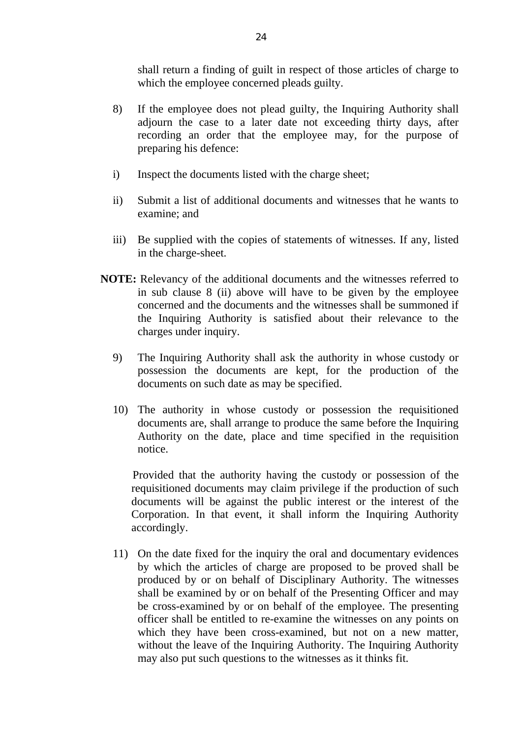shall return a finding of guilt in respect of those articles of charge to which the employee concerned pleads guilty.

- 8) If the employee does not plead guilty, the Inquiring Authority shall adjourn the case to a later date not exceeding thirty days, after recording an order that the employee may, for the purpose of preparing his defence:
- i) Inspect the documents listed with the charge sheet;
- ii) Submit a list of additional documents and witnesses that he wants to examine; and
- iii) Be supplied with the copies of statements of witnesses. If any, listed in the charge-sheet.
- **NOTE:** Relevancy of the additional documents and the witnesses referred to in sub clause 8 (ii) above will have to be given by the employee concerned and the documents and the witnesses shall be summoned if the Inquiring Authority is satisfied about their relevance to the charges under inquiry.
	- 9) The Inquiring Authority shall ask the authority in whose custody or possession the documents are kept, for the production of the documents on such date as may be specified.
	- 10) The authority in whose custody or possession the requisitioned documents are, shall arrange to produce the same before the Inquiring Authority on the date, place and time specified in the requisition notice.

 Provided that the authority having the custody or possession of the requisitioned documents may claim privilege if the production of such documents will be against the public interest or the interest of the Corporation. In that event, it shall inform the Inquiring Authority accordingly.

11) On the date fixed for the inquiry the oral and documentary evidences by which the articles of charge are proposed to be proved shall be produced by or on behalf of Disciplinary Authority. The witnesses shall be examined by or on behalf of the Presenting Officer and may be cross-examined by or on behalf of the employee. The presenting officer shall be entitled to re-examine the witnesses on any points on which they have been cross-examined, but not on a new matter, without the leave of the Inquiring Authority. The Inquiring Authority may also put such questions to the witnesses as it thinks fit.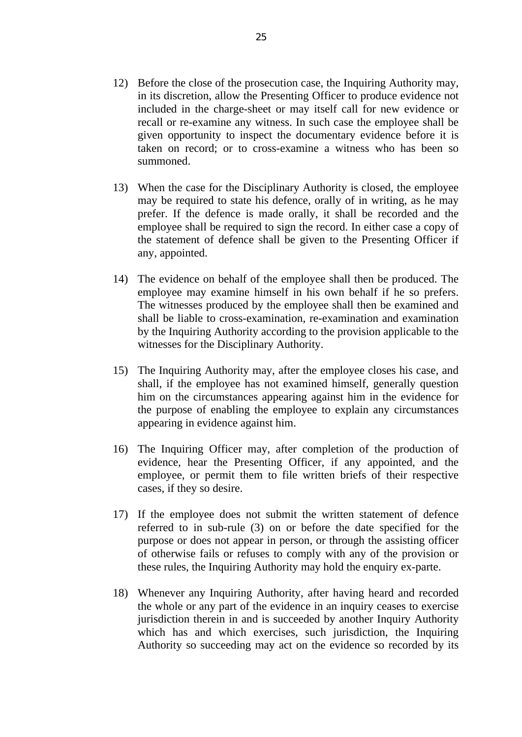- 12) Before the close of the prosecution case, the Inquiring Authority may, in its discretion, allow the Presenting Officer to produce evidence not included in the charge-sheet or may itself call for new evidence or recall or re-examine any witness. In such case the employee shall be given opportunity to inspect the documentary evidence before it is taken on record; or to cross-examine a witness who has been so summoned.
- 13) When the case for the Disciplinary Authority is closed, the employee may be required to state his defence, orally of in writing, as he may prefer. If the defence is made orally, it shall be recorded and the employee shall be required to sign the record. In either case a copy of the statement of defence shall be given to the Presenting Officer if any, appointed.
- 14) The evidence on behalf of the employee shall then be produced. The employee may examine himself in his own behalf if he so prefers. The witnesses produced by the employee shall then be examined and shall be liable to cross-examination, re-examination and examination by the Inquiring Authority according to the provision applicable to the witnesses for the Disciplinary Authority.
- 15) The Inquiring Authority may, after the employee closes his case, and shall, if the employee has not examined himself, generally question him on the circumstances appearing against him in the evidence for the purpose of enabling the employee to explain any circumstances appearing in evidence against him.
- 16) The Inquiring Officer may, after completion of the production of evidence, hear the Presenting Officer, if any appointed, and the employee, or permit them to file written briefs of their respective cases, if they so desire.
- 17) If the employee does not submit the written statement of defence referred to in sub-rule (3) on or before the date specified for the purpose or does not appear in person, or through the assisting officer of otherwise fails or refuses to comply with any of the provision or these rules, the Inquiring Authority may hold the enquiry ex-parte.
- 18) Whenever any Inquiring Authority, after having heard and recorded the whole or any part of the evidence in an inquiry ceases to exercise jurisdiction therein in and is succeeded by another Inquiry Authority which has and which exercises, such jurisdiction, the Inquiring Authority so succeeding may act on the evidence so recorded by its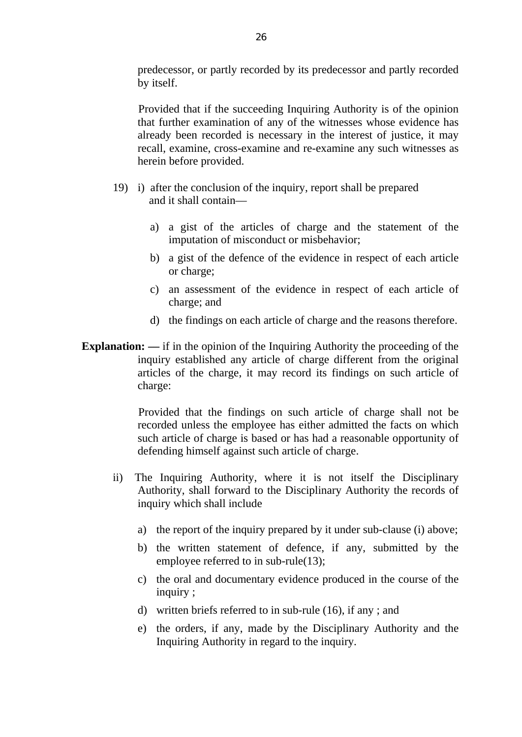predecessor, or partly recorded by its predecessor and partly recorded by itself.

 Provided that if the succeeding Inquiring Authority is of the opinion that further examination of any of the witnesses whose evidence has already been recorded is necessary in the interest of justice, it may recall, examine, cross-examine and re-examine any such witnesses as herein before provided.

- 19) i) after the conclusion of the inquiry, report shall be prepared and it shall contain––
	- a) a gist of the articles of charge and the statement of the imputation of misconduct or misbehavior;
	- b) a gist of the defence of the evidence in respect of each article or charge;
	- c) an assessment of the evidence in respect of each article of charge; and
	- d) the findings on each article of charge and the reasons therefore.
- **Explanation:** —– if in the opinion of the Inquiring Authority the proceeding of the inquiry established any article of charge different from the original articles of the charge, it may record its findings on such article of charge:

 Provided that the findings on such article of charge shall not be recorded unless the employee has either admitted the facts on which such article of charge is based or has had a reasonable opportunity of defending himself against such article of charge.

- ii) The Inquiring Authority, where it is not itself the Disciplinary Authority, shall forward to the Disciplinary Authority the records of inquiry which shall include
	- a) the report of the inquiry prepared by it under sub-clause (i) above;
	- b) the written statement of defence, if any, submitted by the employee referred to in sub-rule(13);
	- c) the oral and documentary evidence produced in the course of the inquiry ;
	- d) written briefs referred to in sub-rule (16), if any ; and
	- e) the orders, if any, made by the Disciplinary Authority and the Inquiring Authority in regard to the inquiry.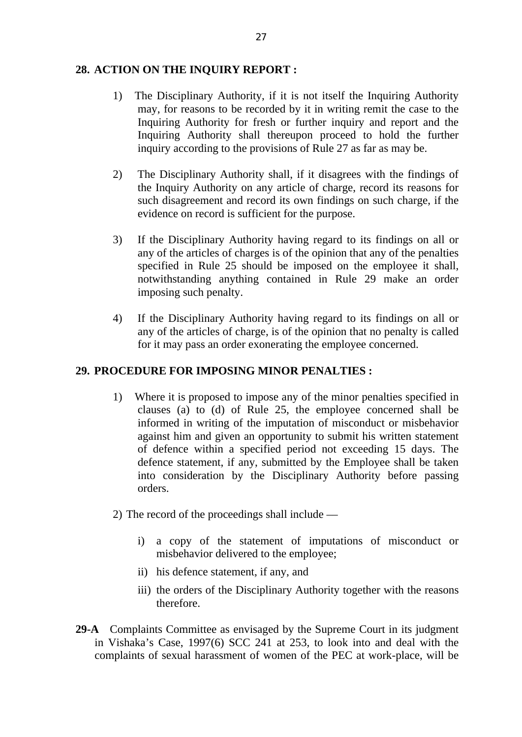#### **28. ACTION ON THE INQUIRY REPORT :**

- 1) The Disciplinary Authority, if it is not itself the Inquiring Authority may, for reasons to be recorded by it in writing remit the case to the Inquiring Authority for fresh or further inquiry and report and the Inquiring Authority shall thereupon proceed to hold the further inquiry according to the provisions of Rule 27 as far as may be.
- 2) The Disciplinary Authority shall, if it disagrees with the findings of the Inquiry Authority on any article of charge, record its reasons for such disagreement and record its own findings on such charge, if the evidence on record is sufficient for the purpose.
- 3) If the Disciplinary Authority having regard to its findings on all or any of the articles of charges is of the opinion that any of the penalties specified in Rule 25 should be imposed on the employee it shall, notwithstanding anything contained in Rule 29 make an order imposing such penalty.
- 4) If the Disciplinary Authority having regard to its findings on all or any of the articles of charge, is of the opinion that no penalty is called for it may pass an order exonerating the employee concerned.

## **29. PROCEDURE FOR IMPOSING MINOR PENALTIES :**

- 1) Where it is proposed to impose any of the minor penalties specified in clauses (a) to (d) of Rule 25, the employee concerned shall be informed in writing of the imputation of misconduct or misbehavior against him and given an opportunity to submit his written statement of defence within a specified period not exceeding 15 days. The defence statement, if any, submitted by the Employee shall be taken into consideration by the Disciplinary Authority before passing orders.
- 2) The record of the proceedings shall include ––
	- i) a copy of the statement of imputations of misconduct or misbehavior delivered to the employee;
	- ii) his defence statement, if any, and
	- iii) the orders of the Disciplinary Authority together with the reasons therefore.
- **29-A** Complaints Committee as envisaged by the Supreme Court in its judgment in Vishaka's Case, 1997(6) SCC 241 at 253, to look into and deal with the complaints of sexual harassment of women of the PEC at work-place, will be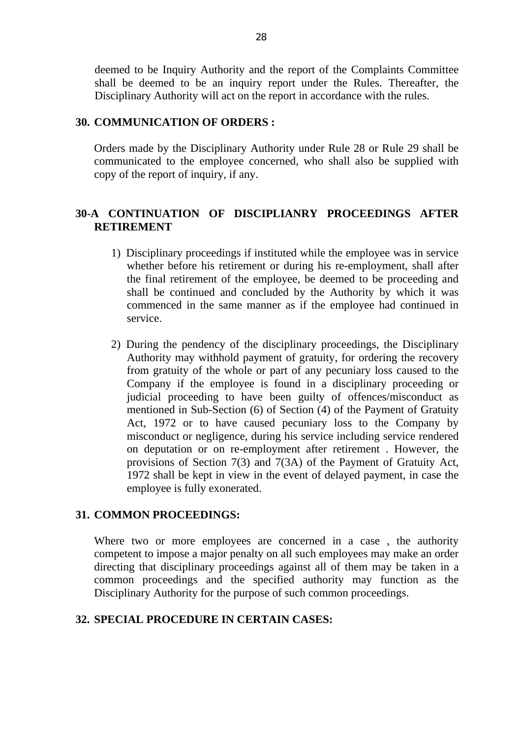deemed to be Inquiry Authority and the report of the Complaints Committee shall be deemed to be an inquiry report under the Rules. Thereafter, the Disciplinary Authority will act on the report in accordance with the rules.

#### **30. COMMUNICATION OF ORDERS :**

Orders made by the Disciplinary Authority under Rule 28 or Rule 29 shall be communicated to the employee concerned, who shall also be supplied with copy of the report of inquiry, if any.

## **30-A CONTINUATION OF DISCIPLIANRY PROCEEDINGS AFTER RETIREMENT**

- 1) Disciplinary proceedings if instituted while the employee was in service whether before his retirement or during his re-employment, shall after the final retirement of the employee, be deemed to be proceeding and shall be continued and concluded by the Authority by which it was commenced in the same manner as if the employee had continued in service.
- 2) During the pendency of the disciplinary proceedings, the Disciplinary Authority may withhold payment of gratuity, for ordering the recovery from gratuity of the whole or part of any pecuniary loss caused to the Company if the employee is found in a disciplinary proceeding or judicial proceeding to have been guilty of offences/misconduct as mentioned in Sub-Section (6) of Section (4) of the Payment of Gratuity Act, 1972 or to have caused pecuniary loss to the Company by misconduct or negligence, during his service including service rendered on deputation or on re-employment after retirement . However, the provisions of Section 7(3) and 7(3A) of the Payment of Gratuity Act, 1972 shall be kept in view in the event of delayed payment, in case the employee is fully exonerated.

#### **31. COMMON PROCEEDINGS:**

Where two or more employees are concerned in a case, the authority competent to impose a major penalty on all such employees may make an order directing that disciplinary proceedings against all of them may be taken in a common proceedings and the specified authority may function as the Disciplinary Authority for the purpose of such common proceedings.

#### **32. SPECIAL PROCEDURE IN CERTAIN CASES:**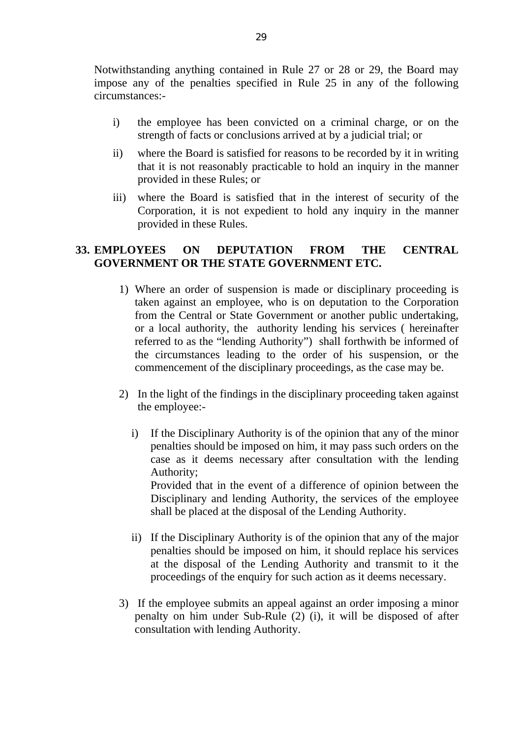Notwithstanding anything contained in Rule 27 or 28 or 29, the Board may impose any of the penalties specified in Rule 25 in any of the following circumstances:-

- i) the employee has been convicted on a criminal charge, or on the strength of facts or conclusions arrived at by a judicial trial; or
- ii) where the Board is satisfied for reasons to be recorded by it in writing that it is not reasonably practicable to hold an inquiry in the manner provided in these Rules; or
- iii) where the Board is satisfied that in the interest of security of the Corporation, it is not expedient to hold any inquiry in the manner provided in these Rules.

### **33. EMPLOYEES ON DEPUTATION FROM THE CENTRAL GOVERNMENT OR THE STATE GOVERNMENT ETC.**

- 1) Where an order of suspension is made or disciplinary proceeding is taken against an employee, who is on deputation to the Corporation from the Central or State Government or another public undertaking, or a local authority, the authority lending his services ( hereinafter referred to as the "lending Authority") shall forthwith be informed of the circumstances leading to the order of his suspension, or the commencement of the disciplinary proceedings, as the case may be.
- 2) In the light of the findings in the disciplinary proceeding taken against the employee:
	- i) If the Disciplinary Authority is of the opinion that any of the minor penalties should be imposed on him, it may pass such orders on the case as it deems necessary after consultation with the lending Authority;

Provided that in the event of a difference of opinion between the Disciplinary and lending Authority, the services of the employee shall be placed at the disposal of the Lending Authority.

- ii) If the Disciplinary Authority is of the opinion that any of the major penalties should be imposed on him, it should replace his services at the disposal of the Lending Authority and transmit to it the proceedings of the enquiry for such action as it deems necessary.
- 3) If the employee submits an appeal against an order imposing a minor penalty on him under Sub-Rule (2) (i), it will be disposed of after consultation with lending Authority.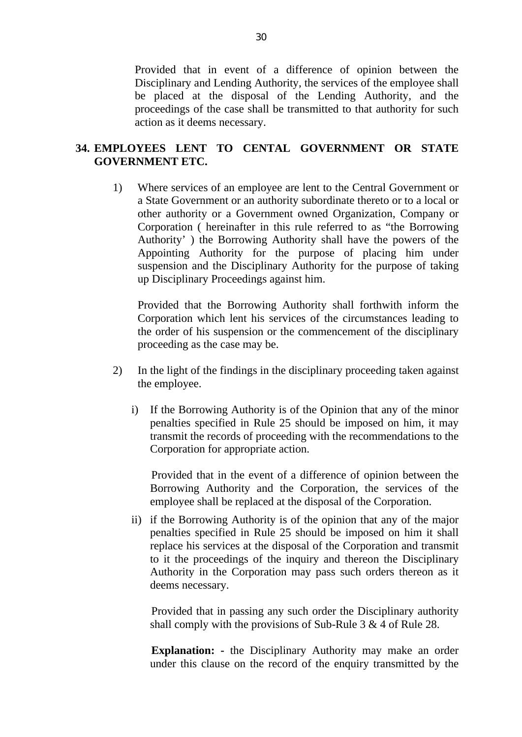Provided that in event of a difference of opinion between the Disciplinary and Lending Authority, the services of the employee shall be placed at the disposal of the Lending Authority, and the proceedings of the case shall be transmitted to that authority for such action as it deems necessary.

## **34. EMPLOYEES LENT TO CENTAL GOVERNMENT OR STATE GOVERNMENT ETC.**

1) Where services of an employee are lent to the Central Government or a State Government or an authority subordinate thereto or to a local or other authority or a Government owned Organization, Company or Corporation ( hereinafter in this rule referred to as "the Borrowing Authority' ) the Borrowing Authority shall have the powers of the Appointing Authority for the purpose of placing him under suspension and the Disciplinary Authority for the purpose of taking up Disciplinary Proceedings against him.

Provided that the Borrowing Authority shall forthwith inform the Corporation which lent his services of the circumstances leading to the order of his suspension or the commencement of the disciplinary proceeding as the case may be.

- 2) In the light of the findings in the disciplinary proceeding taken against the employee.
	- i) If the Borrowing Authority is of the Opinion that any of the minor penalties specified in Rule 25 should be imposed on him, it may transmit the records of proceeding with the recommendations to the Corporation for appropriate action.

 Provided that in the event of a difference of opinion between the Borrowing Authority and the Corporation, the services of the employee shall be replaced at the disposal of the Corporation.

ii) if the Borrowing Authority is of the opinion that any of the major penalties specified in Rule 25 should be imposed on him it shall replace his services at the disposal of the Corporation and transmit to it the proceedings of the inquiry and thereon the Disciplinary Authority in the Corporation may pass such orders thereon as it deems necessary.

 Provided that in passing any such order the Disciplinary authority shall comply with the provisions of Sub-Rule 3 & 4 of Rule 28.

 **Explanation: -** the Disciplinary Authority may make an order under this clause on the record of the enquiry transmitted by the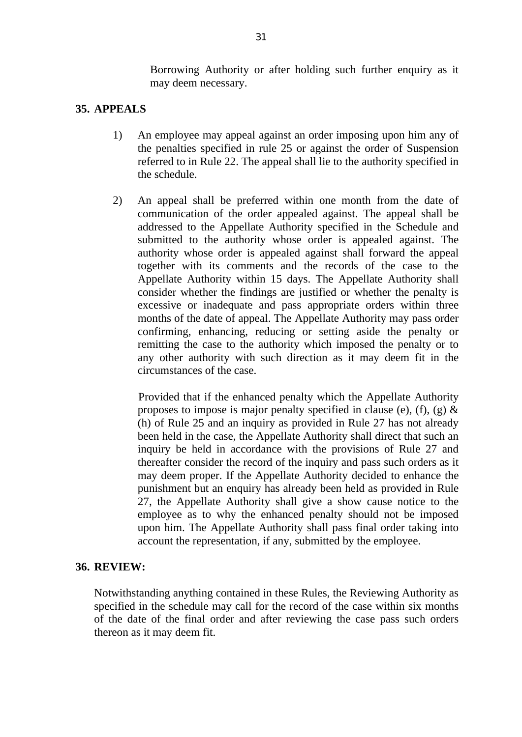Borrowing Authority or after holding such further enquiry as it may deem necessary.

### **35. APPEALS**

- 1) An employee may appeal against an order imposing upon him any of the penalties specified in rule 25 or against the order of Suspension referred to in Rule 22. The appeal shall lie to the authority specified in the schedule.
- 2) An appeal shall be preferred within one month from the date of communication of the order appealed against. The appeal shall be addressed to the Appellate Authority specified in the Schedule and submitted to the authority whose order is appealed against. The authority whose order is appealed against shall forward the appeal together with its comments and the records of the case to the Appellate Authority within 15 days. The Appellate Authority shall consider whether the findings are justified or whether the penalty is excessive or inadequate and pass appropriate orders within three months of the date of appeal. The Appellate Authority may pass order confirming, enhancing, reducing or setting aside the penalty or remitting the case to the authority which imposed the penalty or to any other authority with such direction as it may deem fit in the circumstances of the case.

 Provided that if the enhanced penalty which the Appellate Authority proposes to impose is major penalty specified in clause (e), (f), (g)  $\&$ (h) of Rule 25 and an inquiry as provided in Rule 27 has not already been held in the case, the Appellate Authority shall direct that such an inquiry be held in accordance with the provisions of Rule 27 and thereafter consider the record of the inquiry and pass such orders as it may deem proper. If the Appellate Authority decided to enhance the punishment but an enquiry has already been held as provided in Rule 27, the Appellate Authority shall give a show cause notice to the employee as to why the enhanced penalty should not be imposed upon him. The Appellate Authority shall pass final order taking into account the representation, if any, submitted by the employee.

#### **36. REVIEW:**

Notwithstanding anything contained in these Rules, the Reviewing Authority as specified in the schedule may call for the record of the case within six months of the date of the final order and after reviewing the case pass such orders thereon as it may deem fit.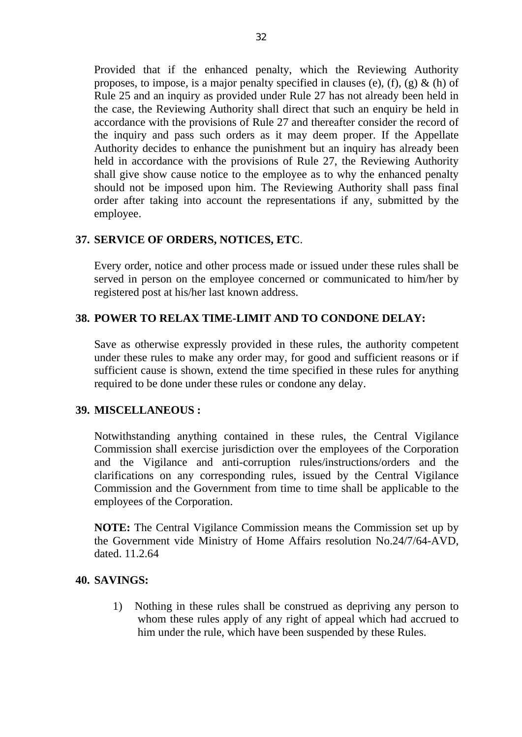Provided that if the enhanced penalty, which the Reviewing Authority proposes, to impose, is a major penalty specified in clauses (e), (f), (g)  $\&$  (h) of Rule 25 and an inquiry as provided under Rule 27 has not already been held in the case, the Reviewing Authority shall direct that such an enquiry be held in accordance with the provisions of Rule 27 and thereafter consider the record of the inquiry and pass such orders as it may deem proper. If the Appellate Authority decides to enhance the punishment but an inquiry has already been held in accordance with the provisions of Rule 27, the Reviewing Authority shall give show cause notice to the employee as to why the enhanced penalty should not be imposed upon him. The Reviewing Authority shall pass final order after taking into account the representations if any, submitted by the employee.

## **37. SERVICE OF ORDERS, NOTICES, ETC**.

Every order, notice and other process made or issued under these rules shall be served in person on the employee concerned or communicated to him/her by registered post at his/her last known address.

### **38. POWER TO RELAX TIME-LIMIT AND TO CONDONE DELAY:**

Save as otherwise expressly provided in these rules, the authority competent under these rules to make any order may, for good and sufficient reasons or if sufficient cause is shown, extend the time specified in these rules for anything required to be done under these rules or condone any delay.

#### **39. MISCELLANEOUS :**

Notwithstanding anything contained in these rules, the Central Vigilance Commission shall exercise jurisdiction over the employees of the Corporation and the Vigilance and anti-corruption rules/instructions/orders and the clarifications on any corresponding rules, issued by the Central Vigilance Commission and the Government from time to time shall be applicable to the employees of the Corporation.

**NOTE:** The Central Vigilance Commission means the Commission set up by the Government vide Ministry of Home Affairs resolution No.24/7/64-AVD, dated 11.2.64

#### **40. SAVINGS:**

1) Nothing in these rules shall be construed as depriving any person to whom these rules apply of any right of appeal which had accrued to him under the rule, which have been suspended by these Rules.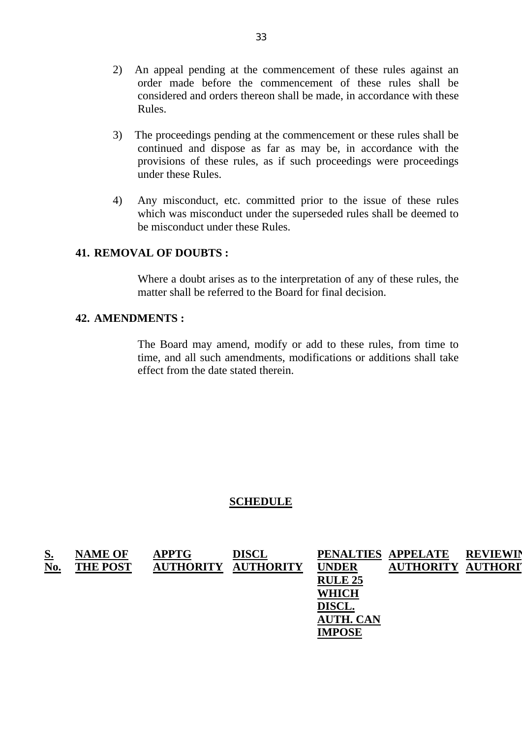- 2) An appeal pending at the commencement of these rules against an order made before the commencement of these rules shall be considered and orders thereon shall be made, in accordance with these Rules.
- 3) The proceedings pending at the commencement or these rules shall be continued and dispose as far as may be, in accordance with the provisions of these rules, as if such proceedings were proceedings under these Rules.
- 4) Any misconduct, etc. committed prior to the issue of these rules which was misconduct under the superseded rules shall be deemed to be misconduct under these Rules.

#### **41. REMOVAL OF DOUBTS :**

Where a doubt arises as to the interpretation of any of these rules, the matter shall be referred to the Board for final decision.

#### **42. AMENDMENTS :**

The Board may amend, modify or add to these rules, from time to time, and all such amendments, modifications or additions shall take effect from the date stated therein.

#### **SCHEDULE**

| <u>S.</u> | <b>NAME OF</b>  | <b>APPTG</b>     | <b>DISCL</b>    | PENALTIES APPELATE |                  | <b>REVIEWIN</b> |
|-----------|-----------------|------------------|-----------------|--------------------|------------------|-----------------|
| No.       | <b>THE POST</b> | <b>AUTHORITY</b> | <b>JTHORITY</b> | <b>UNDER</b>       | <b>AUTHORITY</b> | <b>AUTHORIT</b> |
|           |                 |                  |                 | <b>RULE 25</b>     |                  |                 |
|           |                 |                  |                 | <b>WHICH</b>       |                  |                 |
|           |                 |                  |                 | <b>DISCL.</b>      |                  |                 |
|           |                 |                  |                 | <b>AUTH. CAN</b>   |                  |                 |
|           |                 |                  |                 | <b>IMPOSE</b>      |                  |                 |